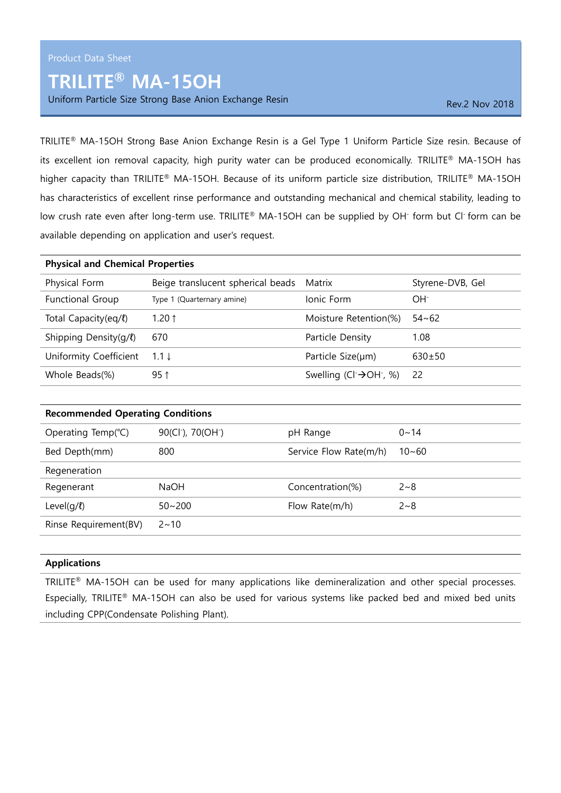## TRILITE® MA-15OH

Uniform Particle Size Strong Base Anion Exchange Resin Rev. 2 Nov 2018

TRILITE® MA-15OH Strong Base Anion Exchange Resin is a Gel Type 1 Uniform Particle Size resin. Because of its excellent ion removal capacity, high purity water can be produced economically. TRILITE® MA-15OH has higher capacity than TRILITE® MA-15OH. Because of its uniform particle size distribution, TRILITE® MA-15OH has characteristics of excellent rinse performance and outstanding mechanical and chemical stability, leading to low crush rate even after long-term use. TRILITE® MA-15OH can be supplied by OH<sup>-</sup> form but Cl<sup>-</sup> form can be available depending on application and user's request.

| <b>Physical and Chemical Properties</b> |                                                |                  |  |
|-----------------------------------------|------------------------------------------------|------------------|--|
| Beige translucent spherical beads       | Matrix                                         | Styrene-DVB, Gel |  |
| Type 1 (Quarternary amine)              | Ionic Form                                     | $OH^-$           |  |
| 1.20 $\uparrow$                         | Moisture Retention(%)                          | $54 - 62$        |  |
| 670                                     | Particle Density                               | 1.08             |  |
| $1.1 \downarrow$                        | Particle Size(µm)                              | $630+50$         |  |
| $95$ ↑                                  | Swelling (Cl $\rightarrow$ OH $\rightarrow$ %) | -22              |  |
|                                         |                                                |                  |  |

| <b>Recommended Operating Conditions</b> |                                            |                        |           |
|-----------------------------------------|--------------------------------------------|------------------------|-----------|
| Operating Temp(°C)                      | 90(Cl <sup>-</sup> ), 70(OH <sup>-</sup> ) | pH Range               | $0 - 14$  |
| Bed Depth(mm)                           | 800                                        | Service Flow Rate(m/h) | $10 - 60$ |
| Regeneration                            |                                            |                        |           |
| Regenerant                              | <b>NaOH</b>                                | Concentration(%)       | $2 - 8$   |
| Level $(q/l)$                           | $50 - 200$                                 | Flow Rate(m/h)         | $2 - 8$   |
| Rinse Requirement(BV)                   | $2 \sim 10$                                |                        |           |
|                                         |                                            |                        |           |

## Applications

TRILITE® MA-15OH can be used for many applications like demineralization and other special processes. Especially, TRILITE® MA-15OH can also be used for various systems like packed bed and mixed bed units including CPP(Condensate Polishing Plant).